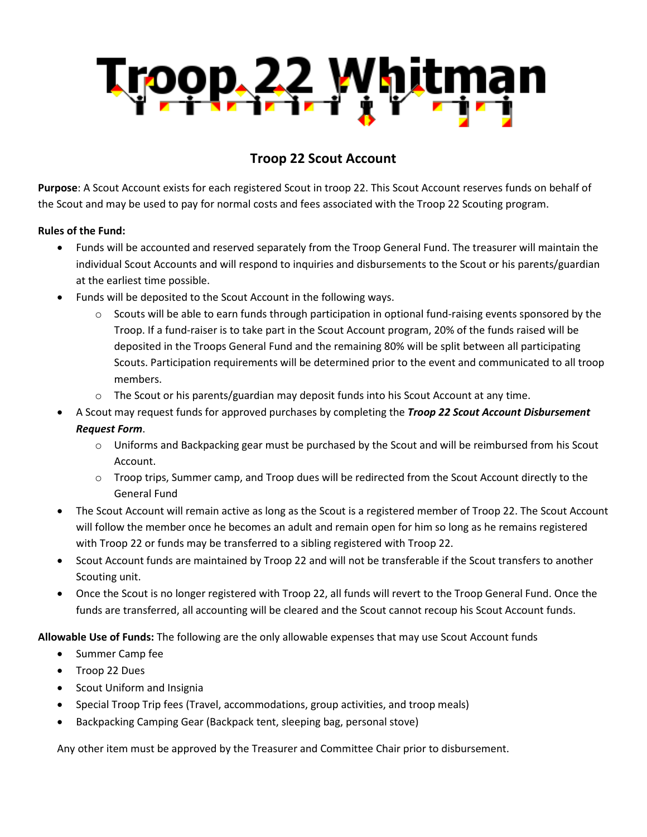

## **Troop 22 Scout Account**

**Purpose**: A Scout Account exists for each registered Scout in troop 22. This Scout Account reserves funds on behalf of the Scout and may be used to pay for normal costs and fees associated with the Troop 22 Scouting program.

## **Rules of the Fund:**

- Funds will be accounted and reserved separately from the Troop General Fund. The treasurer will maintain the individual Scout Accounts and will respond to inquiries and disbursements to the Scout or his parents/guardian at the earliest time possible.
- Funds will be deposited to the Scout Account in the following ways.
	- $\circ$  Scouts will be able to earn funds through participation in optional fund-raising events sponsored by the Troop. If a fund-raiser is to take part in the Scout Account program, 20% of the funds raised will be deposited in the Troops General Fund and the remaining 80% will be split between all participating Scouts. Participation requirements will be determined prior to the event and communicated to all troop members.
	- o The Scout or his parents/guardian may deposit funds into his Scout Account at any time.
- A Scout may request funds for approved purchases by completing the *Troop 22 Scout Account Disbursement Request Form*.
	- o Uniforms and Backpacking gear must be purchased by the Scout and will be reimbursed from his Scout Account.
	- $\circ$  Troop trips, Summer camp, and Troop dues will be redirected from the Scout Account directly to the General Fund
- The Scout Account will remain active as long as the Scout is a registered member of Troop 22. The Scout Account will follow the member once he becomes an adult and remain open for him so long as he remains registered with Troop 22 or funds may be transferred to a sibling registered with Troop 22.
- Scout Account funds are maintained by Troop 22 and will not be transferable if the Scout transfers to another Scouting unit.
- Once the Scout is no longer registered with Troop 22, all funds will revert to the Troop General Fund. Once the funds are transferred, all accounting will be cleared and the Scout cannot recoup his Scout Account funds.

**Allowable Use of Funds:** The following are the only allowable expenses that may use Scout Account funds

- Summer Camp fee
- Troop 22 Dues
- Scout Uniform and Insignia
- Special Troop Trip fees (Travel, accommodations, group activities, and troop meals)
- Backpacking Camping Gear (Backpack tent, sleeping bag, personal stove)

Any other item must be approved by the Treasurer and Committee Chair prior to disbursement.